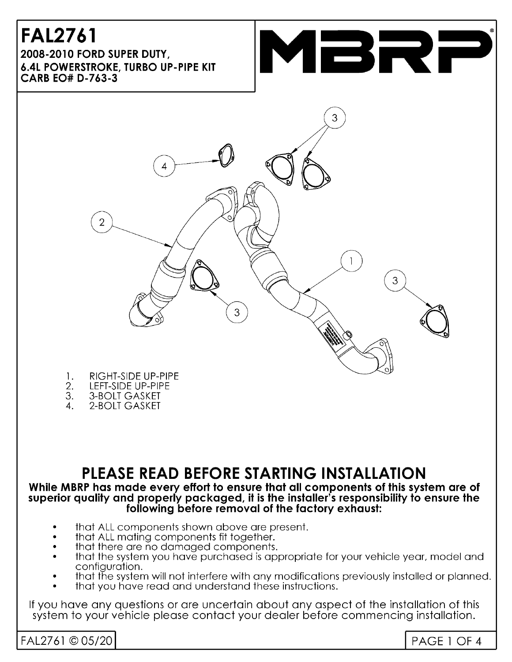#### **FAL2761** 2008-2010 FORD SUPER DUTY. **6.4L POWERSTROKE, TURBO UP-PIPE KIT CARB EO# D-763-3**





- 1. **RIGHT-SIDE UP-PIPE**
- 2. LEFT-SIDE UP-PIPE
- 3. **3-BOLT GASKET**
- 2-BOLT GASKET  $\overline{4}$ .

## PLEASE READ BEFORE STARTING INSTALLATION

#### While MBRP has made every effort to ensure that all components of this system are of superior quality and properly packaged, it is the installer's responsibility to ensure the following before removal of the factory exhaust:

- that ALL components shown above are present.
- that ALL mating components fit together.
- that there are no damaged components.
- that the system you have purchased is appropriate for your vehicle year, model and configuration.
- that the system will not interfere with any modifications previously installed or planned.
- that you have read and understand these instructions.

If you have any questions or are uncertain about any aspect of the installation of this system to your vehicle please contact your dealer before commencing installation.

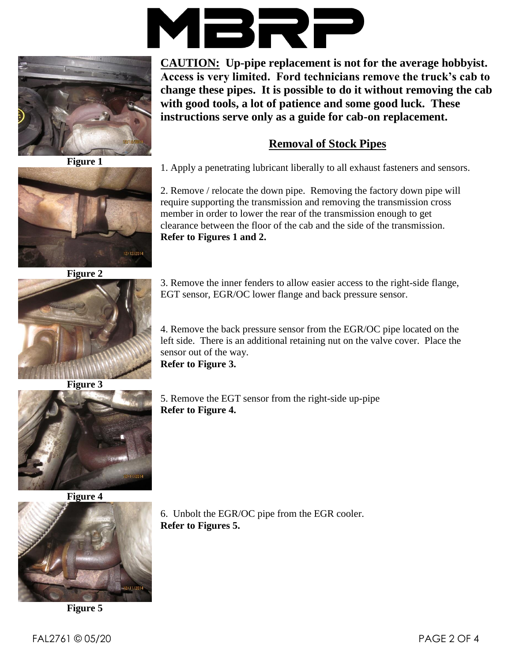



**Figure 1**



**Figure 2**





**Figure 4**



**Figure 5**

**CAUTION: Up-pipe replacement is not for the average hobbyist. Access is very limited. Ford technicians remove the truck's cab to change these pipes. It is possible to do it without removing the cab with good tools, a lot of patience and some good luck. These instructions serve only as a guide for cab-on replacement.**

#### **Removal of Stock Pipes**

1. Apply a penetrating lubricant liberally to all exhaust fasteners and sensors.

2. Remove / relocate the down pipe. Removing the factory down pipe will require supporting the transmission and removing the transmission cross member in order to lower the rear of the transmission enough to get clearance between the floor of the cab and the side of the transmission. **Refer to Figures 1 and 2.**

3. Remove the inner fenders to allow easier access to the right-side flange, EGT sensor, EGR/OC lower flange and back pressure sensor.

4. Remove the back pressure sensor from the EGR/OC pipe located on the left side. There is an additional retaining nut on the valve cover. Place the sensor out of the way.

**Refer to Figure 3.**

5. Remove the EGT sensor from the right-side up-pipe **Refer to Figure 4.**

6. Unbolt the EGR/OC pipe from the EGR cooler. **Refer to Figures 5.**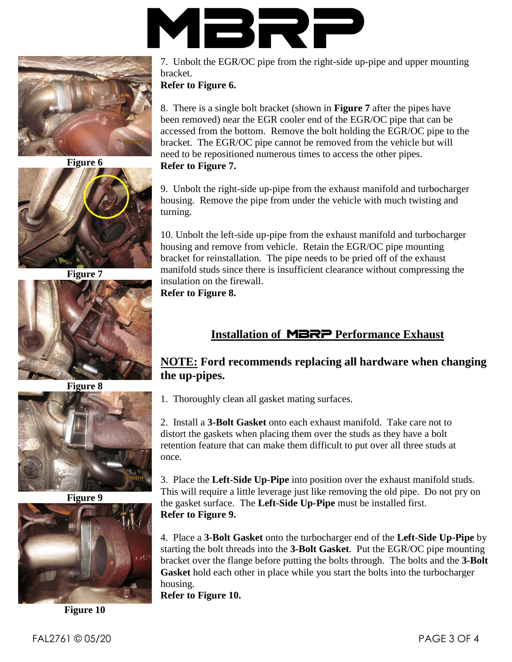



**Figure 6**



**Figure 7**



**Figure 8**



**Figure 9**



**Figure 10**

7. Unbolt the EGR/OC pipe from the right-side up-pipe and upper mounting bracket.

**Refer to Figure 6.**

8. There is a single bolt bracket (shown in **Figure 7** after the pipes have been removed) near the EGR cooler end of the EGR/OC pipe that can be accessed from the bottom. Remove the bolt holding the EGR/OC pipe to the bracket. The EGR/OC pipe cannot be removed from the vehicle but will need to be repositioned numerous times to access the other pipes. **Refer to Figure 7.**

9. Unbolt the right-side up-pipe from the exhaust manifold and turbocharger housing. Remove the pipe from under the vehicle with much twisting and turning.

10. Unbolt the left-side up-pipe from the exhaust manifold and turbocharger housing and remove from vehicle. Retain the EGR/OC pipe mounting bracket for reinstallation. The pipe needs to be pried off of the exhaust manifold studs since there is insufficient clearance without compressing the insulation on the firewall.

**Refer to Figure 8.**

### **Installation of** MBRP **Performance Exhaust**

#### **NOTE: Ford recommends replacing all hardware when changing the up-pipes.**

1. Thoroughly clean all gasket mating surfaces.

2. Install a **3-Bolt Gasket** onto each exhaust manifold. Take care not to distort the gaskets when placing them over the studs as they have a bolt retention feature that can make them difficult to put over all three studs at once.

3. Place the **Left-Side Up-Pipe** into position over the exhaust manifold studs. This will require a little leverage just like removing the old pipe. Do not pry on the gasket surface. The **Left-Side Up-Pipe** must be installed first. **Refer to Figure 9.**

4. Place a **3-Bolt Gasket** onto the turbocharger end of the **Left-Side Up-Pipe** by starting the bolt threads into the **3-Bolt Gasket**. Put the EGR/OC pipe mounting bracket over the flange before putting the bolts through. The bolts and the **3-Bolt Gasket** hold each other in place while you start the bolts into the turbocharger housing.

**Refer to Figure 10.**